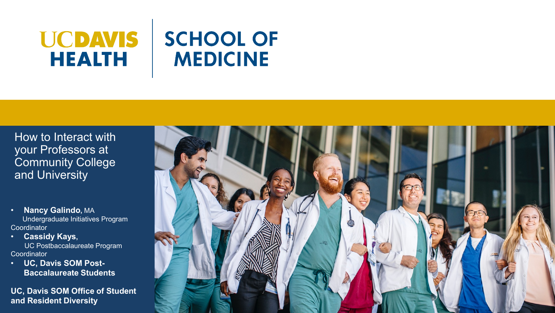#### **SCHOOL OF UCDAVIS MEDICINE HEALTH**

How to Interact with your Professors at Community College and University

- **Nancy Galindo,** MA Undergraduate Initiatives Program
- Coordinator **Cassidy Kays,**  UC Postbaccalaureate Program
- Coordinator **UC, Davis SOM Post - Baccalaureate Students**

**UC, Davis SOM Office of Student and Resident Diversity**

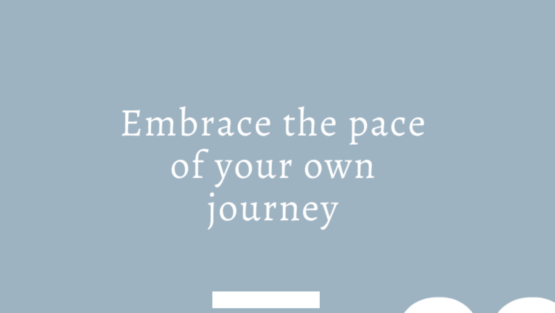# Embrace the pace of your own journey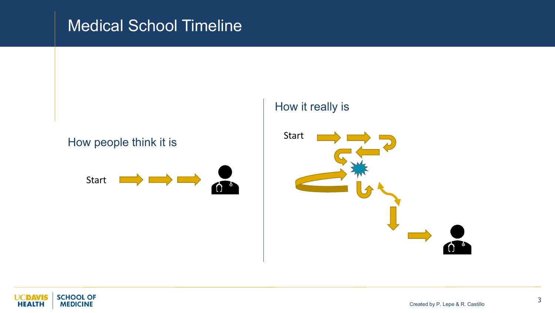### Medical School Timeline



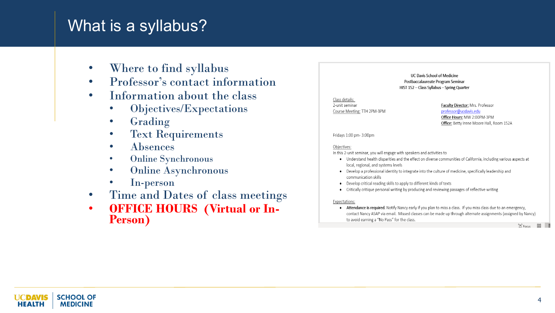# What is a syllabus?<br>• Where to find syllabus

- 
- Professor's contact information
- Information about the class
	- Objectives/Expectations
	- **Grading**
	- Text Requirements
	- Absences
	- Online Synchronous
	- Online Asynchronous
	- In-person
- Time and Dates of class meetings
- **OFFICE HOURS (Virtual or In- Person)**

#### UC Davis School of Medicine Postbaccalaureate Program Seminar HIST 152 - Class Syllabus - Spring Quarter

Class details:

2-unit seminar Course Meeting: TTH 2PM-3PM

Faculty Director: Mrs. Professor professor@ucdavis.edu Office Hours: MW 2:00PM-3PM Office: Betty Irene Moore Hall, Room 152A

#### Fridays 1:00 pm- 3:00pm

#### Objectives:

In this 2-unit seminar, you will engage with speakers and activities to

- Understand health disparities and the effect on diverse communities of California, including various aspects at local, regional, and systems levels
- Develop a professional identity to integrate into the culture of medicine, specifically leadership and communication skills
- Develop critical reading skills to apply to different kinds of texts
- Critically critique personal writing by producing and reviewing passages of reflective writing

#### Expectations:

• Attendance is required. Notify Nancy early if you plan to miss a class. If you miss class due to an emergency, contact Nancy ASAP via email. Missed classes can be made up through alternate assignments (assigned by Nancy) to avoid earning a "No Pass" for the class.

 $\boxed{\mathbb{D}}$  Focus  $\boxed{\mathbb{H}}$   $\boxed{\mathbb{R}}$ 

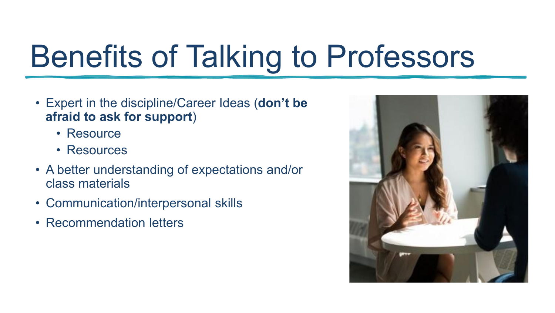# Benefits of Talking to Professors

- Expert in the discipline/Career Ideas (**don't be afraid to ask for support**)
	- Resource
	- Resources
- A better understanding of expectations and/or class materials
- Communication/interpersonal skills
- Recommendation letters

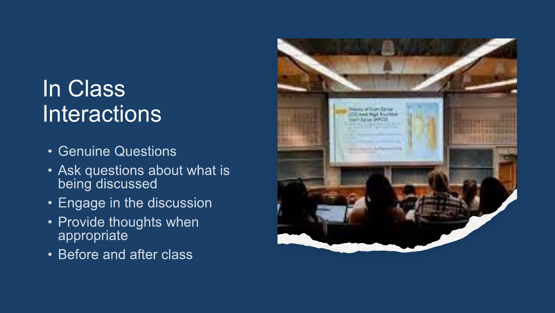### In Class **Interactions**

- Genuine Questions
- Ask questions about what is being discussed
- Engage in the discussion
- Provide thoughts when appropriate
- Before and after class

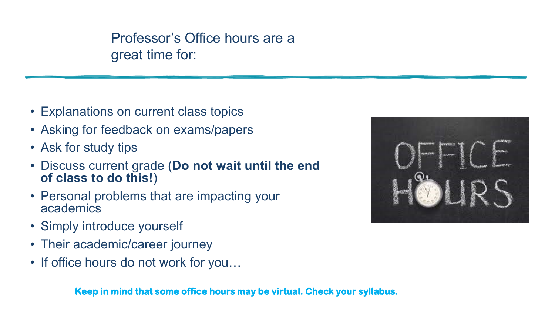Professor's Office hours are a great time for:

- Explanations on current class topics
- Asking for feedback on exams/papers
- Ask for study tips
- Discuss current grade (**Do not wait until the end of class to do this!**)
- Personal problems that are impacting your academics
- Simply introduce yourself
- Their academic/career journey
- If office hours do not work for you...



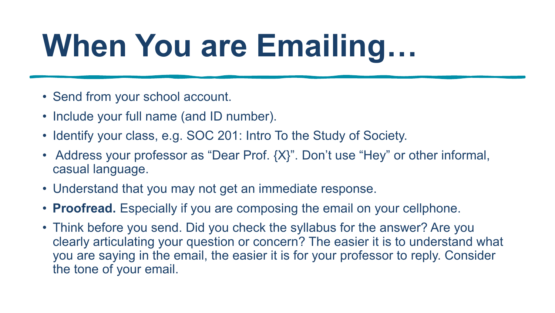# **When You are Emailing…**

- Send from your school account.
- Include your full name (and ID number).
- Identify your class, e.g. SOC 201: Intro To the Study of Society.
- Address your professor as "Dear Prof.  $\{X\}$ ". Don't use "Hey" or other informal, casual language.
- Understand that you may not get an immediate response.
- **Proofread.** Especially if you are composing the email on your cellphone.
- Think before you send. Did you check the syllabus for the answer? Are you clearly articulating your question or concern? The easier it is to understand what you are saying in the email, the easier it is for your professor to reply. Consider the tone of your email.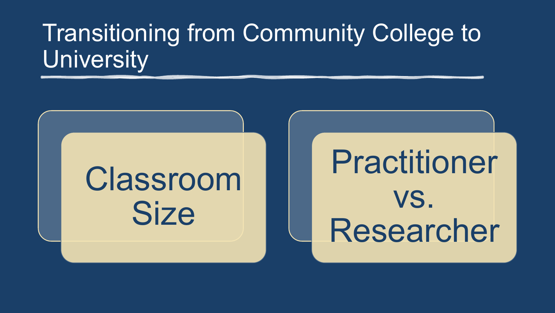### Transitioning from Community College to **University**

# Classroom Size

Practitioner vs. Researcher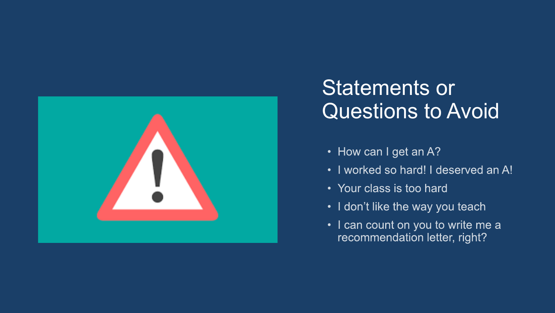

### **Statements or Questions to Avoid**

- How can I get an A?
- . I worked so hard! I deserved an A!
- Your class is too hard
- I don't like the way you teach
- I can count on you to write me a recommendation letter, right?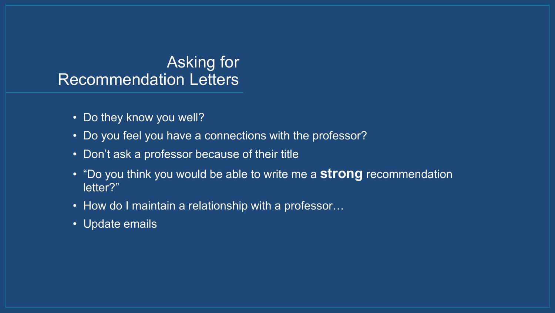#### Asking for Recommendation Letters

- Do they know you well?
- Do you feel you have a connections with the professor?
- Don't ask a professor because of their title
- "Do you think you would be able to write me a **strong** recommendation letter?"
- How do I maintain a relationship with a professor…
- Update emails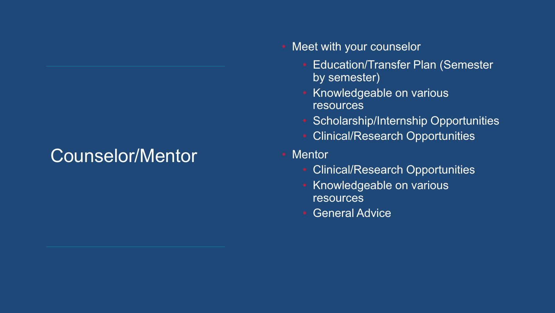### Counselor/Mentor

- Meet with your counselor
	- Education/Transfer Plan (Semester by semester)
	- Knowledgeable on various resources
	- Scholarship/Internship Opportunities
	- Clinical/Research Opportunities
- Mentor
	- Clinical/Research Opportunities
	- Knowledgeable on various resources
	- **General Advice**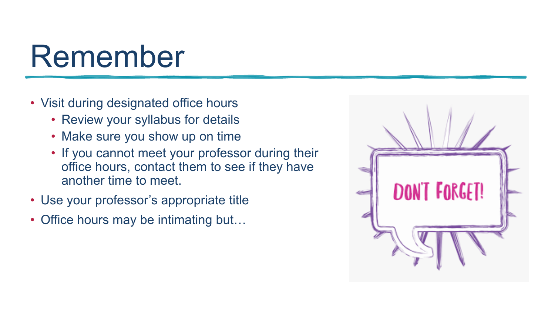# Remember

- Visit during designated office hours
	- Review your syllabus for details
	- Make sure you show up on time
	- If you cannot meet your professor during their office hours, contact them to see if they have another time to meet.
- Use your professor's appropriate title
- Office hours may be intimating but...